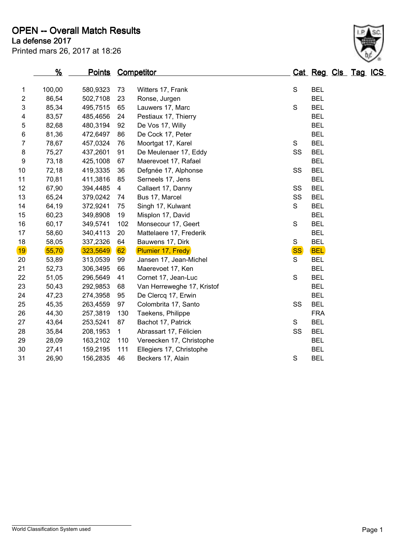**La defense 2017 OPEN -- Overall Match Results**

Printed mars 26, 2017 at 18:26

|    | %      | <u>Points</u> | Competitor   |                            |           | Cat Reg Cls Tag ICS |  |  |
|----|--------|---------------|--------------|----------------------------|-----------|---------------------|--|--|
| 1  | 100,00 | 580,9323      | 73           | Witters 17, Frank          | S         | <b>BEL</b>          |  |  |
| 2  | 86,54  | 502,7108      | 23           | Ronse, Jurgen              |           | <b>BEL</b>          |  |  |
| 3  | 85,34  | 495,7515      | 65           | Lauwers 17, Marc           | S         | <b>BEL</b>          |  |  |
| 4  | 83,57  | 485,4656      | 24           | Pestiaux 17, Thierry       |           | <b>BEL</b>          |  |  |
| 5  | 82,68  | 480,3194      | 92           | De Vos 17, Willy           |           | <b>BEL</b>          |  |  |
| 6  | 81,36  | 472,6497      | 86           | De Cock 17, Peter          |           | <b>BEL</b>          |  |  |
| 7  | 78,67  | 457,0324      | 76           | Moortgat 17, Karel         | S         | <b>BEL</b>          |  |  |
| 8  | 75,27  | 437,2601      | 91           | De Meulenaer 17, Eddy      | SS        | <b>BEL</b>          |  |  |
| 9  | 73,18  | 425,1008      | 67           | Maerevoet 17, Rafael       |           | <b>BEL</b>          |  |  |
| 10 | 72,18  | 419,3335      | 36           | Defgnée 17, Alphonse       | SS        | <b>BEL</b>          |  |  |
| 11 | 70,81  | 411,3816      | 85           | Serneels 17, Jens          |           | <b>BEL</b>          |  |  |
| 12 | 67,90  | 394,4485      | 4            | Callaert 17, Danny         | SS        | <b>BEL</b>          |  |  |
| 13 | 65,24  | 379,0242      | 74           | Bus 17, Marcel             | SS        | <b>BEL</b>          |  |  |
| 14 | 64,19  | 372,9241      | 75           | Singh 17, Kulwant          | S         | <b>BEL</b>          |  |  |
| 15 | 60,23  | 349,8908      | 19           | Misplon 17, David          |           | <b>BEL</b>          |  |  |
| 16 | 60,17  | 349,5741      | 102          | Monsecour 17, Geert        | S         | <b>BEL</b>          |  |  |
| 17 | 58,60  | 340,4113      | 20           | Mattelaere 17, Frederik    |           | <b>BEL</b>          |  |  |
| 18 | 58,05  | 337,2326      | 64           | Bauwens 17, Dirk           | S         | <b>BEL</b>          |  |  |
| 19 | 55,70  | 323,5649      | 62           | Plumier 17, Fredy          | <b>SS</b> | <b>BEL</b>          |  |  |
| 20 | 53,89  | 313,0539      | 99           | Jansen 17, Jean-Michel     | S         | <b>BEL</b>          |  |  |
| 21 | 52,73  | 306,3495      | 66           | Maerevoet 17, Ken          |           | <b>BEL</b>          |  |  |
| 22 | 51,05  | 296,5649      | 41           | Cornet 17, Jean-Luc        | S         | <b>BEL</b>          |  |  |
| 23 | 50,43  | 292,9853      | 68           | Van Herreweghe 17, Kristof |           | <b>BEL</b>          |  |  |
| 24 | 47,23  | 274,3958      | 95           | De Clercq 17, Erwin        |           | <b>BEL</b>          |  |  |
| 25 | 45,35  | 263,4559      | 97           | Colombrita 17, Santo       | SS        | <b>BEL</b>          |  |  |
| 26 | 44,30  | 257,3819      | 130          | Taekens, Philippe          |           | <b>FRA</b>          |  |  |
| 27 | 43,64  | 253,5241      | 87           | Bachot 17, Patrick         | S         | <b>BEL</b>          |  |  |
| 28 | 35,84  | 208,1953      | $\mathbf{1}$ | Abrassart 17, Félicien     | SS        | <b>BEL</b>          |  |  |
| 29 | 28,09  | 163,2102      | 110          | Vereecken 17, Christophe   |           | <b>BEL</b>          |  |  |
| 30 | 27,41  | 159,2195      | 111          | Ellegiers 17, Christophe   |           | <b>BEL</b>          |  |  |
| 31 | 26,90  | 156,2835      | 46           | Beckers 17, Alain          | S         | <b>BEL</b>          |  |  |

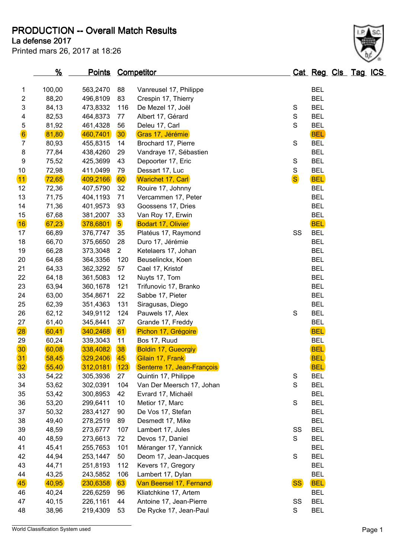**PRODUCTION -- Overall Match Results**

**La defense 2017**

Printed mars 26, 2017 at 18:26

|                 | $\frac{9}{6}$ |          | <b>Points Competitor</b> |                            |              | Cat Reg Cls Tag ICS |  |  |
|-----------------|---------------|----------|--------------------------|----------------------------|--------------|---------------------|--|--|
| 1               | 100,00        | 563,2470 | 88                       | Vanreusel 17, Philippe     |              | <b>BEL</b>          |  |  |
| $\overline{c}$  | 88,20         | 496,8109 | 83                       | Crespin 17, Thierry        |              | <b>BEL</b>          |  |  |
| 3               | 84,13         | 473,8332 | 116                      | De Mezel 17, Joël          | S            | <b>BEL</b>          |  |  |
| 4               | 82,53         | 464,8373 | 77                       | Albert 17, Gérard          | S            | <b>BEL</b>          |  |  |
| 5               | 81,92         | 461,4328 | 56                       | Deleu 17, Carl             | $\mathbf S$  | <b>BEL</b>          |  |  |
| $\bf{6}$        | 81,80         | 460,7401 | 30 <sub>o</sub>          | Gras 17, Jérémie           |              | <b>BEL</b>          |  |  |
| $\overline{7}$  | 80,93         | 455,8315 | 14                       | Brochard 17, Pierre        | $\mathbf S$  | <b>BEL</b>          |  |  |
| 8               | 77,84         | 438,4260 | 29                       | Vandraye 17, Sébastien     |              | <b>BEL</b>          |  |  |
| 9               | 75,52         | 425,3699 | 43                       | Depoorter 17, Eric         | $\mathbb S$  | <b>BEL</b>          |  |  |
| 10              | 72,98         | 411,0499 | 79                       | Dessart 17, Luc            | $\mathbf S$  | <b>BEL</b>          |  |  |
| 11              | 72,65         | 409,2166 | 60                       | <b>Warichet 17, Carl</b>   | <sub>S</sub> | <b>BEL</b>          |  |  |
| 12              | 72,36         | 407,5790 | 32                       | Rouire 17, Johnny          |              | <b>BEL</b>          |  |  |
| 13              | 71,75         | 404,1193 | 71                       | Vercammen 17, Peter        |              | <b>BEL</b>          |  |  |
| 14              | 71,36         | 401,9573 | 93                       | Goossens 17, Dries         |              | <b>BEL</b>          |  |  |
| 15              | 67,68         | 381,2007 | 33                       | Van Roy 17, Erwin          |              | <b>BEL</b>          |  |  |
| 16              | 67,23         | 378,6801 | $\overline{\mathbf{5}}$  | <b>Bodart 17, Olivier</b>  |              | <b>BEL</b>          |  |  |
| 17              | 66,89         | 376,7747 | 35                       | Platéus 17, Raymond        | SS           | <b>BEL</b>          |  |  |
| 18              | 66,70         | 375,6650 | 28                       | Duro 17, Jérémie           |              | <b>BEL</b>          |  |  |
| 19              | 66,28         | 373,3048 | $\overline{2}$           | Ketelaers 17, Johan        |              | <b>BEL</b>          |  |  |
| 20              | 64,68         | 364,3356 | 120                      | Beuselinckx, Koen          |              | <b>BEL</b>          |  |  |
| 21              | 64,33         | 362,3292 | 57                       | Cael 17, Kristof           |              | <b>BEL</b>          |  |  |
| 22              | 64,18         | 361,5083 | 12                       | Nuyts 17, Tom              |              | <b>BEL</b>          |  |  |
| 23              | 63,94         | 360,1678 | 121                      | Trifunovic 17, Branko      |              | <b>BEL</b>          |  |  |
| 24              | 63,00         | 354,8671 | 22                       | Sabbe 17, Pieter           |              | <b>BEL</b>          |  |  |
| 25              | 62,39         | 351,4363 | 131                      | Siragusas, Diego           |              | <b>BEL</b>          |  |  |
| 26              | 62,12         | 349,9112 | 124                      | Pauwels 17, Alex           | S            | <b>BEL</b>          |  |  |
| 27              | 61,40         | 345,8441 | 37                       | Grande 17, Freddy          |              | <b>BEL</b>          |  |  |
| 28              | 60,41         | 340,2468 | 61                       | Pichon 17, Grégoire        |              | <b>BEL</b>          |  |  |
| 29              | 60,24         | 339,3043 | 11                       | Bos 17, Ruud               |              | <b>BEL</b>          |  |  |
| 30              | 60,08         | 338,4082 | 38                       | <b>Boldin 17, Gueorgiy</b> |              | <b>BEL</b>          |  |  |
| 31              | 58,45         | 329,2406 | 45                       | Gilain 17, Frank           |              | <b>BEL</b>          |  |  |
| 32 <sub>2</sub> | 55,40         | 312,0181 | (123)                    | Senterre 17, Jean-François |              | <b>BEL</b>          |  |  |
| 33              | 54,22         | 305,3936 | 27                       | Quintin 17, Philippe       | S            | <b>BEL</b>          |  |  |
| 34              | 53,62         | 302,0391 | 104                      | Van Der Meersch 17, Johan  | S            | <b>BEL</b>          |  |  |
| 35              | 53,42         | 300,8953 | 42                       | Evrard 17, Michaël         |              | <b>BEL</b>          |  |  |
| 36              | 53,20         | 299,6411 | 10                       | Metior 17, Marc            | S            | <b>BEL</b>          |  |  |
| 37              | 50,32         | 283,4127 | 90                       | De Vos 17, Stefan          |              | <b>BEL</b>          |  |  |
| 38              | 49,40         | 278,2519 | 89                       | Desmedt 17, Mike           |              | <b>BEL</b>          |  |  |
| 39              | 48,59         | 273,6777 | 107                      | Lambert 17, Jules          | SS           | <b>BEL</b>          |  |  |
| 40              | 48,59         | 273,6613 | 72                       | Devos 17, Daniel           | S            | <b>BEL</b>          |  |  |
| 41              | 45,41         | 255,7653 | 101                      | Méranger 17, Yannick       |              | <b>BEL</b>          |  |  |
| 42              | 44,94         | 253,1447 | 50                       | Deom 17, Jean-Jacques      | $\mathbf S$  | <b>BEL</b>          |  |  |
| 43              | 44,71         | 251,8193 | 112                      | Kevers 17, Gregory         |              | <b>BEL</b>          |  |  |
| 44              | 43,25         | 243,5852 | 106                      | Lambert 17, Dylan          |              | <b>BEL</b>          |  |  |
| 45              | 40,95         | 230,6358 | 63                       | Van Beersel 17, Fernand    | <b>SS</b>    | <b>BEL</b>          |  |  |
| 46              | 40,24         | 226,6259 | 96                       | Kliatchkine 17, Artem      |              | <b>BEL</b>          |  |  |
| 47              | 40,15         | 226,1161 | 44                       | Antoine 17, Jean-Pierre    | SS           | <b>BEL</b>          |  |  |
| 48              | 38,96         | 219,4309 | 53                       | De Rycke 17, Jean-Paul     | S            | <b>BEL</b>          |  |  |

World Classification System used Page 1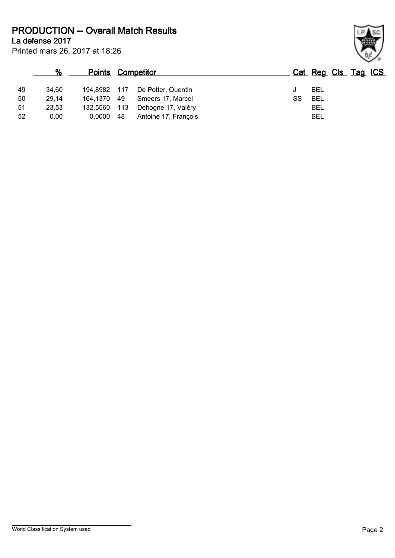**PRODUCTION -- Overall Match Results**

Printed mars 26, 2017 at 18:26 **La defense 2017**

## **% Points Competitor Cat Reg Cls Tag ICS** 49 34,60 194,8982 117 De Potter, Quentin J BEL 50 29,14 164,1370 49 Smeers 17, Marcel SS BEL 51 23,53 132,5560 113 Dehogne 17, Valéry BEL 52 0,00 0,0000 48 Antoine 17, François BEL

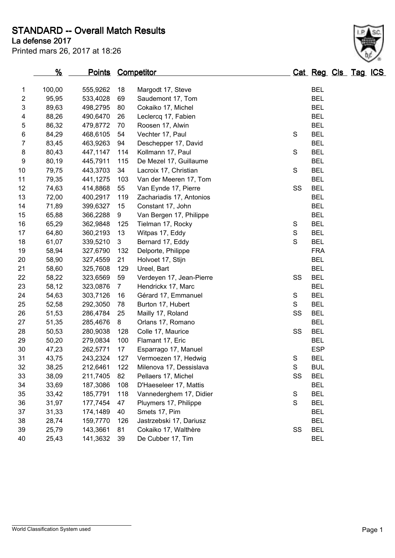**STANDARD -- Overall Match Results**

**La defense 2017**

Printed mars 26, 2017 at 18:26

### **% Points Competitor Cat Reg Cls Tag ICS** 100,00 555,9262 18 Margodt 17, Steve BEL 95,95 533,4028 69 Saudemont 17, Tom BEL 89,63 498,2795 80 Cokaiko 17, Michel BEL 4 88,26 490,6470 26 Leclercq 17, Fabien BEL 86,32 479,8772 70 Roosen 17, Alwin BEL 6 84,29 468,6105 54 Vechter 17, Paul S BEL 83,45 463,9263 94 Deschepper 17, David BEL 8 80,43 447,1147 114 Kollmann 17, Paul S BEL 80,19 445,7911 115 De Mezel 17, Guillaume BEL 10 79,75 443,3703 34 Lacroix 17, Christian S BEL 79,35 441,1275 103 Van der Meeren 17, Tom BEL 74,63 414,8868 55 Van Eynde 17, Pierre SS BEL 72,00 400,2917 119 Zachariadis 17, Antonios BEL 71,89 399,6327 15 Constant 17, John BEL 65,88 366,2288 9 Van Bergen 17, Philippe BEL 65,29 362,9848 125 Tielman 17, Rocky S BEL 17 64.80 360.2193 13 Witpas 17, Eddy S BEL 18 61.07 339.5210 3 Bernard 17. Eddy S BEL 58,94 327,6790 132 Delporte, Philippe FRA 58,90 327,4559 21 Holvoet 17, Stijn BEL 21 58,60 325,7608 129 Ureel, Bart BEL 58,22 323,6569 59 Verdeyen 17, Jean-Pierre SS BEL 58,12 323,0876 7 Hendrickx 17, Marc BEL 54,63 303,7126 16 Gérard 17, Emmanuel S BEL 52,58 292,3050 78 Burton 17, Hubert S BEL 51,53 286,4784 25 Mailly 17, Roland SS BEL 51,35 285,4676 8 Orlans 17, Romano BEL 50,53 280,9038 128 Colle 17, Maurice SS BEL 50,20 279,0834 100 Flamant 17, Eric BEL 47,23 262,5771 17 Esparrago 17, Manuel ESP 31 43,75 243,2324 127 Vermoezen 17, Hedwig S BEL 38,25 212,6461 122 Milenova 17, Dessislava S BUL 38,09 211,7405 82 Pellaers 17, Michel SS BEL 33,69 187,3086 108 D'Haeseleer 17, Mattis BEL 33,42 185,7791 118 Vannederghem 17, Didier S BEL 31,97 177,7454 47 Pluymers 17, Philippe S BEL 31,33 174,1489 40 Smets 17, Pim BEL 28,74 159,7770 126 Jastrzebski 17, Dariusz BEL 25,79 143,3661 81 Cokaiko 17, Walthère SS BEL 25,43 141,3632 39 De Cubber 17, Tim BEL